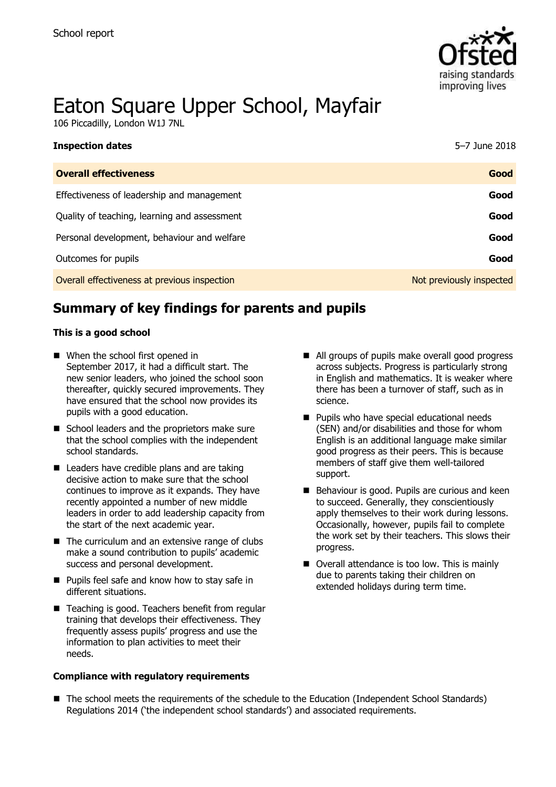

# Eaton Square Upper School, Mayfair

106 Piccadilly, London W1J 7NL

| <b>Inspection dates</b>                      | 5-7 June 2018            |
|----------------------------------------------|--------------------------|
| <b>Overall effectiveness</b>                 | Good                     |
| Effectiveness of leadership and management   | Good                     |
| Quality of teaching, learning and assessment | Good                     |
| Personal development, behaviour and welfare  | Good                     |
| Outcomes for pupils                          | Good                     |
| Overall effectiveness at previous inspection | Not previously inspected |

# **Summary of key findings for parents and pupils**

#### **This is a good school**

- When the school first opened in September 2017, it had a difficult start. The new senior leaders, who joined the school soon thereafter, quickly secured improvements. They have ensured that the school now provides its pupils with a good education.
- School leaders and the proprietors make sure that the school complies with the independent school standards.
- Leaders have credible plans and are taking decisive action to make sure that the school continues to improve as it expands. They have recently appointed a number of new middle leaders in order to add leadership capacity from the start of the next academic year.
- The curriculum and an extensive range of clubs make a sound contribution to pupils' academic success and personal development.
- **Pupils feel safe and know how to stay safe in** different situations.
- Teaching is good. Teachers benefit from regular training that develops their effectiveness. They frequently assess pupils' progress and use the information to plan activities to meet their needs.

#### **Compliance with regulatory requirements**

- All groups of pupils make overall good progress across subjects. Progress is particularly strong in English and mathematics. It is weaker where there has been a turnover of staff, such as in science.
- **Pupils who have special educational needs** (SEN) and/or disabilities and those for whom English is an additional language make similar good progress as their peers. This is because members of staff give them well-tailored support.
- Behaviour is good. Pupils are curious and keen to succeed. Generally, they conscientiously apply themselves to their work during lessons. Occasionally, however, pupils fail to complete the work set by their teachers. This slows their progress.
- Overall attendance is too low. This is mainly due to parents taking their children on extended holidays during term time.

■ The school meets the requirements of the schedule to the Education (Independent School Standards) Regulations 2014 ('the independent school standards') and associated requirements.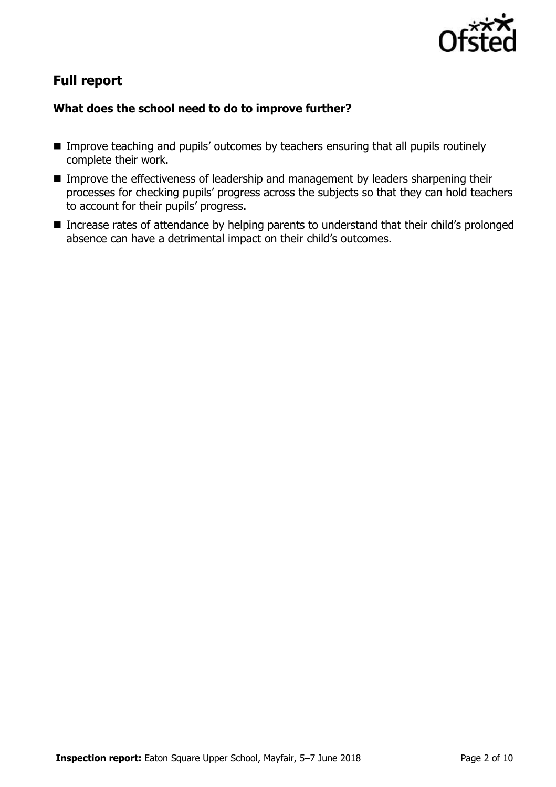

# **Full report**

### **What does the school need to do to improve further?**

- **IMPROVE THEORY IMPLE IMPROVE TEACHING And pupils' outcomes by teachers ensuring that all pupils routinely** complete their work.
- **IMPROVE THE EFFECT IVE ASSET IS A LIME STARK IN EXAMPLE IN EXAMPLE IS EXAMPLE IT IS A LIME IS A LIME IS A LIME I** processes for checking pupils' progress across the subjects so that they can hold teachers to account for their pupils' progress.
- **Increase rates of attendance by helping parents to understand that their child's prolonged** absence can have a detrimental impact on their child's outcomes.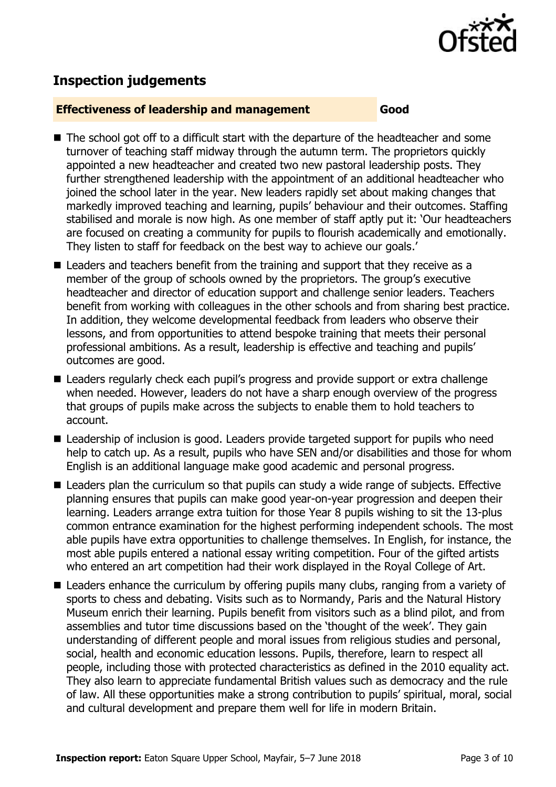

# **Inspection judgements**

#### **Effectiveness of leadership and management Good**

- The school got off to a difficult start with the departure of the headteacher and some turnover of teaching staff midway through the autumn term. The proprietors quickly appointed a new headteacher and created two new pastoral leadership posts. They further strengthened leadership with the appointment of an additional headteacher who joined the school later in the year. New leaders rapidly set about making changes that markedly improved teaching and learning, pupils' behaviour and their outcomes. Staffing stabilised and morale is now high. As one member of staff aptly put it: 'Our headteachers are focused on creating a community for pupils to flourish academically and emotionally. They listen to staff for feedback on the best way to achieve our goals.'
- Leaders and teachers benefit from the training and support that they receive as a member of the group of schools owned by the proprietors. The group's executive headteacher and director of education support and challenge senior leaders. Teachers benefit from working with colleagues in the other schools and from sharing best practice. In addition, they welcome developmental feedback from leaders who observe their lessons, and from opportunities to attend bespoke training that meets their personal professional ambitions. As a result, leadership is effective and teaching and pupils' outcomes are good.
- Leaders regularly check each pupil's progress and provide support or extra challenge when needed. However, leaders do not have a sharp enough overview of the progress that groups of pupils make across the subjects to enable them to hold teachers to account.
- Leadership of inclusion is good. Leaders provide targeted support for pupils who need help to catch up. As a result, pupils who have SEN and/or disabilities and those for whom English is an additional language make good academic and personal progress.
- Leaders plan the curriculum so that pupils can study a wide range of subjects. Effective planning ensures that pupils can make good year-on-year progression and deepen their learning. Leaders arrange extra tuition for those Year 8 pupils wishing to sit the 13-plus common entrance examination for the highest performing independent schools. The most able pupils have extra opportunities to challenge themselves. In English, for instance, the most able pupils entered a national essay writing competition. Four of the gifted artists who entered an art competition had their work displayed in the Royal College of Art.
- Leaders enhance the curriculum by offering pupils many clubs, ranging from a variety of sports to chess and debating. Visits such as to Normandy, Paris and the Natural History Museum enrich their learning. Pupils benefit from visitors such as a blind pilot, and from assemblies and tutor time discussions based on the 'thought of the week'. They gain understanding of different people and moral issues from religious studies and personal, social, health and economic education lessons. Pupils, therefore, learn to respect all people, including those with protected characteristics as defined in the 2010 equality act. They also learn to appreciate fundamental British values such as democracy and the rule of law. All these opportunities make a strong contribution to pupils' spiritual, moral, social and cultural development and prepare them well for life in modern Britain.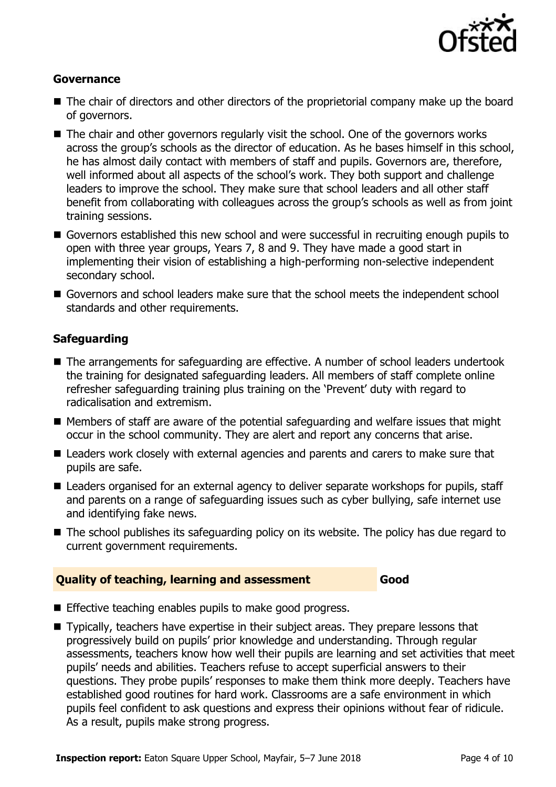

#### **Governance**

- The chair of directors and other directors of the proprietorial company make up the board of governors.
- The chair and other governors regularly visit the school. One of the governors works across the group's schools as the director of education. As he bases himself in this school, he has almost daily contact with members of staff and pupils. Governors are, therefore, well informed about all aspects of the school's work. They both support and challenge leaders to improve the school. They make sure that school leaders and all other staff benefit from collaborating with colleagues across the group's schools as well as from joint training sessions.
- Governors established this new school and were successful in recruiting enough pupils to open with three year groups, Years 7, 8 and 9. They have made a good start in implementing their vision of establishing a high-performing non-selective independent secondary school.
- Governors and school leaders make sure that the school meets the independent school standards and other requirements.

#### **Safeguarding**

- The arrangements for safeguarding are effective. A number of school leaders undertook the training for designated safeguarding leaders. All members of staff complete online refresher safeguarding training plus training on the 'Prevent' duty with regard to radicalisation and extremism.
- $\blacksquare$  Members of staff are aware of the potential safeguarding and welfare issues that might occur in the school community. They are alert and report any concerns that arise.
- Leaders work closely with external agencies and parents and carers to make sure that pupils are safe.
- Leaders organised for an external agency to deliver separate workshops for pupils, staff and parents on a range of safeguarding issues such as cyber bullying, safe internet use and identifying fake news.
- The school publishes its safeguarding policy on its website. The policy has due regard to current government requirements.

#### **Quality of teaching, learning and assessment Good**

- Effective teaching enables pupils to make good progress.
- Typically, teachers have expertise in their subject areas. They prepare lessons that progressively build on pupils' prior knowledge and understanding. Through regular assessments, teachers know how well their pupils are learning and set activities that meet pupils' needs and abilities. Teachers refuse to accept superficial answers to their questions. They probe pupils' responses to make them think more deeply. Teachers have established good routines for hard work. Classrooms are a safe environment in which pupils feel confident to ask questions and express their opinions without fear of ridicule. As a result, pupils make strong progress.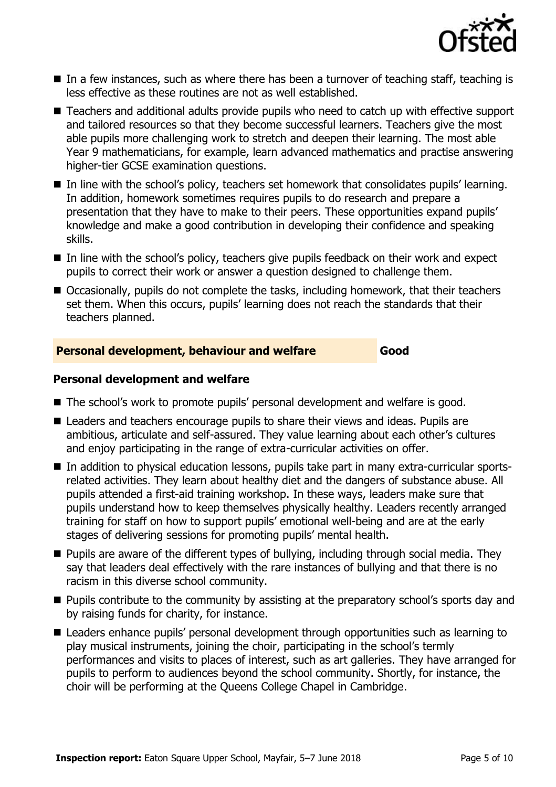

- $\blacksquare$  In a few instances, such as where there has been a turnover of teaching staff, teaching is less effective as these routines are not as well established.
- Teachers and additional adults provide pupils who need to catch up with effective support and tailored resources so that they become successful learners. Teachers give the most able pupils more challenging work to stretch and deepen their learning. The most able Year 9 mathematicians, for example, learn advanced mathematics and practise answering higher-tier GCSE examination questions.
- In line with the school's policy, teachers set homework that consolidates pupils' learning. In addition, homework sometimes requires pupils to do research and prepare a presentation that they have to make to their peers. These opportunities expand pupils' knowledge and make a good contribution in developing their confidence and speaking skills.
- In line with the school's policy, teachers give pupils feedback on their work and expect pupils to correct their work or answer a question designed to challenge them.
- Occasionally, pupils do not complete the tasks, including homework, that their teachers set them. When this occurs, pupils' learning does not reach the standards that their teachers planned.

#### **Personal development, behaviour and welfare Good**

#### **Personal development and welfare**

- The school's work to promote pupils' personal development and welfare is good.
- Leaders and teachers encourage pupils to share their views and ideas. Pupils are ambitious, articulate and self-assured. They value learning about each other's cultures and enjoy participating in the range of extra-curricular activities on offer.
- In addition to physical education lessons, pupils take part in many extra-curricular sportsrelated activities. They learn about healthy diet and the dangers of substance abuse. All pupils attended a first-aid training workshop. In these ways, leaders make sure that pupils understand how to keep themselves physically healthy. Leaders recently arranged training for staff on how to support pupils' emotional well-being and are at the early stages of delivering sessions for promoting pupils' mental health.
- **Pupils are aware of the different types of bullying, including through social media. They** say that leaders deal effectively with the rare instances of bullying and that there is no racism in this diverse school community.
- **Pupils contribute to the community by assisting at the preparatory school's sports day and** by raising funds for charity, for instance.
- Leaders enhance pupils' personal development through opportunities such as learning to play musical instruments, joining the choir, participating in the school's termly performances and visits to places of interest, such as art galleries. They have arranged for pupils to perform to audiences beyond the school community. Shortly, for instance, the choir will be performing at the Queens College Chapel in Cambridge.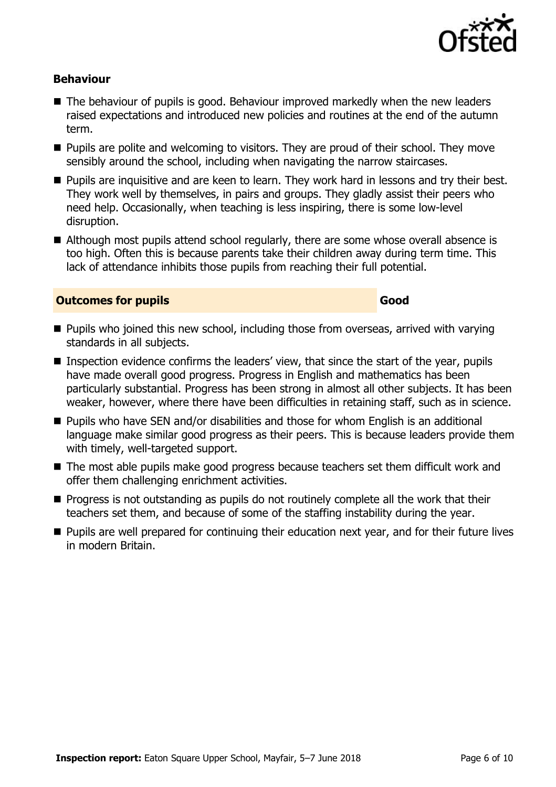

#### **Behaviour**

- $\blacksquare$  The behaviour of pupils is good. Behaviour improved markedly when the new leaders raised expectations and introduced new policies and routines at the end of the autumn term.
- **Pupils are polite and welcoming to visitors. They are proud of their school. They move** sensibly around the school, including when navigating the narrow staircases.
- **Pupils are inquisitive and are keen to learn. They work hard in lessons and try their best.** They work well by themselves, in pairs and groups. They gladly assist their peers who need help. Occasionally, when teaching is less inspiring, there is some low-level disruption.
- Although most pupils attend school regularly, there are some whose overall absence is too high. Often this is because parents take their children away during term time. This lack of attendance inhibits those pupils from reaching their full potential.

#### **Outcomes for pupils Good Good**

- **Pupils who joined this new school, including those from overseas, arrived with varying** standards in all subjects.
- **Inspection evidence confirms the leaders' view, that since the start of the year, pupils** have made overall good progress. Progress in English and mathematics has been particularly substantial. Progress has been strong in almost all other subjects. It has been weaker, however, where there have been difficulties in retaining staff, such as in science.
- Pupils who have SEN and/or disabilities and those for whom English is an additional language make similar good progress as their peers. This is because leaders provide them with timely, well-targeted support.
- The most able pupils make good progress because teachers set them difficult work and offer them challenging enrichment activities.
- **Progress is not outstanding as pupils do not routinely complete all the work that their** teachers set them, and because of some of the staffing instability during the year.
- **Pupils are well prepared for continuing their education next year, and for their future lives** in modern Britain.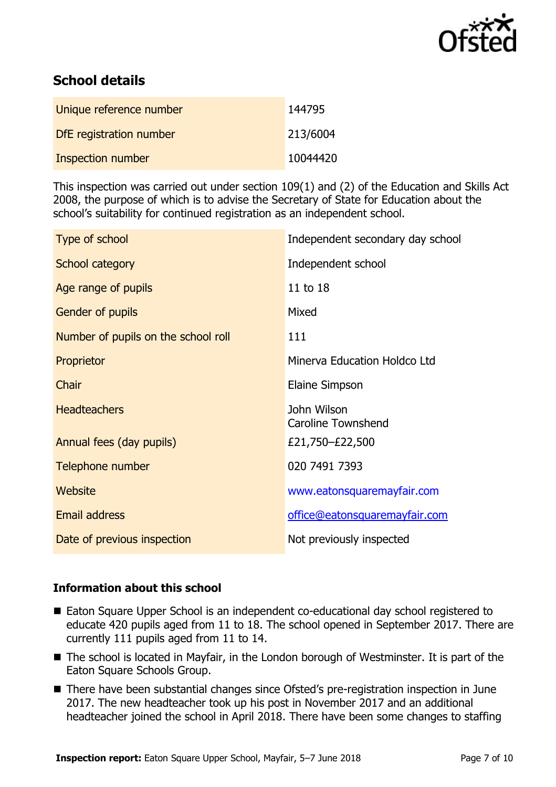

# **School details**

| Unique reference number | 144795   |
|-------------------------|----------|
| DfE registration number | 213/6004 |
| Inspection number       | 10044420 |

This inspection was carried out under section 109(1) and (2) of the Education and Skills Act 2008, the purpose of which is to advise the Secretary of State for Education about the school's suitability for continued registration as an independent school.

| Type of school                      | Independent secondary day school         |
|-------------------------------------|------------------------------------------|
| School category                     | Independent school                       |
| Age range of pupils                 | 11 to 18                                 |
| Gender of pupils                    | Mixed                                    |
| Number of pupils on the school roll | 111                                      |
| Proprietor                          | Minerva Education Holdco Ltd             |
| Chair                               | Elaine Simpson                           |
| <b>Headteachers</b>                 | John Wilson<br><b>Caroline Townshend</b> |
| Annual fees (day pupils)            | £21,750–£22,500                          |
| Telephone number                    | 020 7491 7393                            |
| Website                             | www.eatonsquaremayfair.com               |
| <b>Email address</b>                | office@eatonsquaremayfair.com            |
| Date of previous inspection         | Not previously inspected                 |

#### **Information about this school**

- Eaton Square Upper School is an independent co-educational day school registered to educate 420 pupils aged from 11 to 18. The school opened in September 2017. There are currently 111 pupils aged from 11 to 14.
- The school is located in Mayfair, in the London borough of Westminster. It is part of the Eaton Square Schools Group.
- There have been substantial changes since Ofsted's pre-registration inspection in June 2017. The new headteacher took up his post in November 2017 and an additional headteacher joined the school in April 2018. There have been some changes to staffing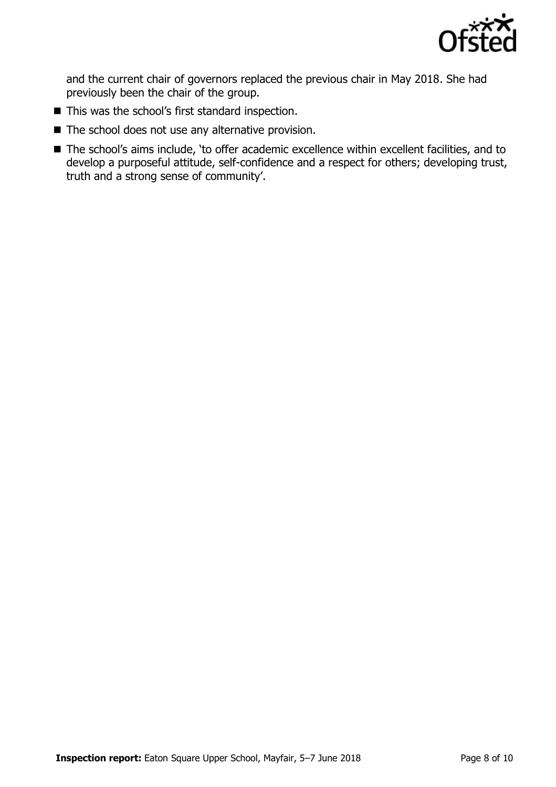

and the current chair of governors replaced the previous chair in May 2018. She had previously been the chair of the group.

- This was the school's first standard inspection.
- $\blacksquare$  The school does not use any alternative provision.
- The school's aims include, 'to offer academic excellence within excellent facilities, and to develop a purposeful attitude, self-confidence and a respect for others; developing trust, truth and a strong sense of community'.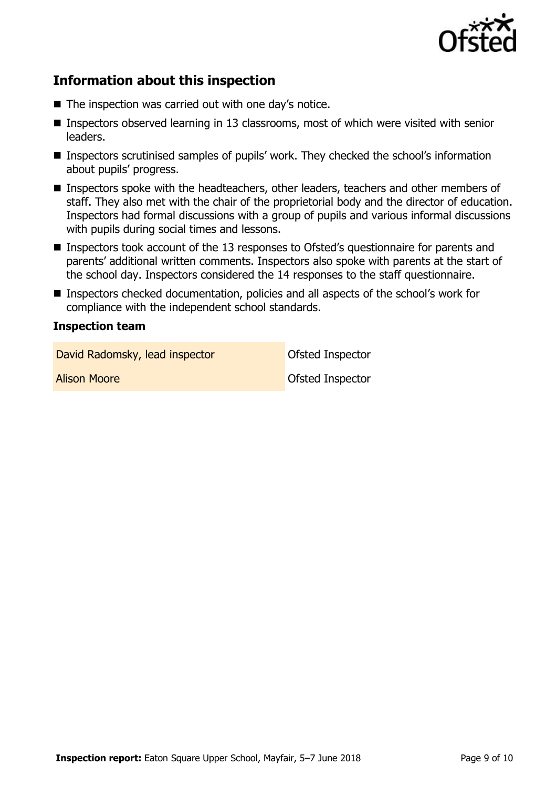

# **Information about this inspection**

- The inspection was carried out with one day's notice.
- Inspectors observed learning in 13 classrooms, most of which were visited with senior leaders.
- Inspectors scrutinised samples of pupils' work. They checked the school's information about pupils' progress.
- Inspectors spoke with the headteachers, other leaders, teachers and other members of staff. They also met with the chair of the proprietorial body and the director of education. Inspectors had formal discussions with a group of pupils and various informal discussions with pupils during social times and lessons.
- Inspectors took account of the 13 responses to Ofsted's questionnaire for parents and parents' additional written comments. Inspectors also spoke with parents at the start of the school day. Inspectors considered the 14 responses to the staff questionnaire.
- Inspectors checked documentation, policies and all aspects of the school's work for compliance with the independent school standards.

#### **Inspection team**

David Radomsky, lead inspector **David Radomsky, lead inspector** 

**Alison Moore Ofsted Inspector**